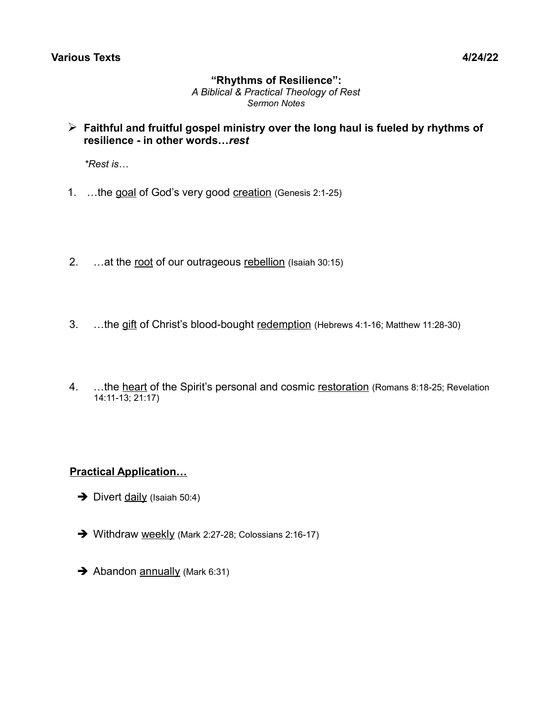# **"Rhythms of Resilience":**

*A Biblical & Practical Theology of Rest Sermon Notes*

➢ **Faithful and fruitful gospel ministry over the long haul is fueled by rhythms of resilience - in other words…***rest*

 *\*Rest is…*

- 1. ...the goal of God's very good creation (Genesis 2:1-25)
- 2. ...at the root of our outrageous rebellion (Isaiah 30:15)
- 3. ...the gift of Christ's blood-bought redemption (Hebrews 4:1-16; Matthew 11:28-30)
- 4. ...the heart of the Spirit's personal and cosmic restoration (Romans 8:18-25; Revelation 14:11-13; 21:17)

# **Practical Application…**

- $\rightarrow$  Divert daily (Isaiah 50:4)
- ➔ Withdraw weekly (Mark 2:27-28; Colossians 2:16-17)
- **→** Abandon annually (Mark 6:31)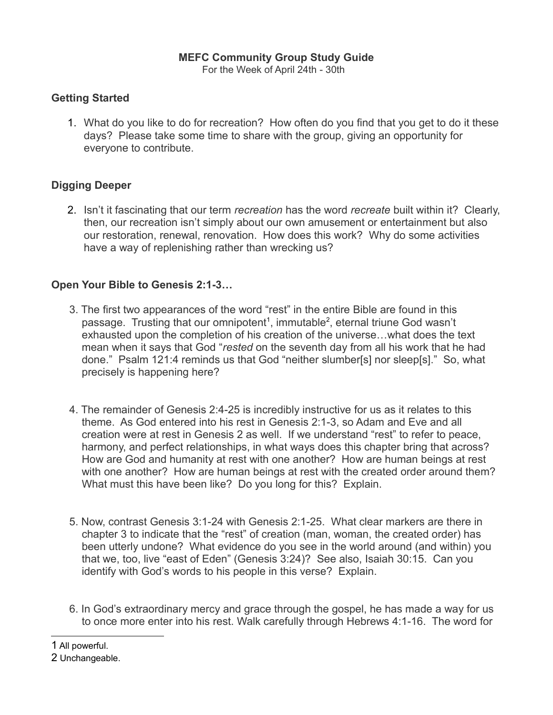# **MEFC Community Group Study Guide**

For the Week of April 24th - 30th

#### **Getting Started**

1. What do you like to do for recreation? How often do you find that you get to do it these days? Please take some time to share with the group, giving an opportunity for everyone to contribute.

# **Digging Deeper**

2. Isn't it fascinating that our term *recreation* has the word *recreate* built within it? Clearly, then, our recreation isn't simply about our own amusement or entertainment but also our restoration, renewal, renovation. How does this work? Why do some activities have a way of replenishing rather than wrecking us?

# **Open Your Bible to Genesis 2:1-3…**

- 3. The first two appearances of the word "rest" in the entire Bible are found in this passage. Trusting that our omnipotent<sup>[1](#page-1-0)</sup>, immutable<sup>[2](#page-1-1)</sup>, eternal triune God wasn't exhausted upon the completion of his creation of the universe…what does the text mean when it says that God "*rested* on the seventh day from all his work that he had done." Psalm 121:4 reminds us that God "neither slumber[s] nor sleep[s]." So, what precisely is happening here?
- 4. The remainder of Genesis 2:4-25 is incredibly instructive for us as it relates to this theme. As God entered into his rest in Genesis 2:1-3, so Adam and Eve and all creation were at rest in Genesis 2 as well. If we understand "rest" to refer to peace, harmony, and perfect relationships, in what ways does this chapter bring that across? How are God and humanity at rest with one another? How are human beings at rest with one another? How are human beings at rest with the created order around them? What must this have been like? Do you long for this? Explain.
- 5. Now, contrast Genesis 3:1-24 with Genesis 2:1-25. What clear markers are there in chapter 3 to indicate that the "rest" of creation (man, woman, the created order) has been utterly undone? What evidence do you see in the world around (and within) you that we, too, live "east of Eden" (Genesis 3:24)? See also, Isaiah 30:15. Can you identify with God's words to his people in this verse? Explain.
- 6. In God's extraordinary mercy and grace through the gospel, he has made a way for us to once more enter into his rest. Walk carefully through Hebrews 4:1-16. The word for

<span id="page-1-0"></span>1 All powerful.

<span id="page-1-1"></span><sup>2</sup> Unchangeable.